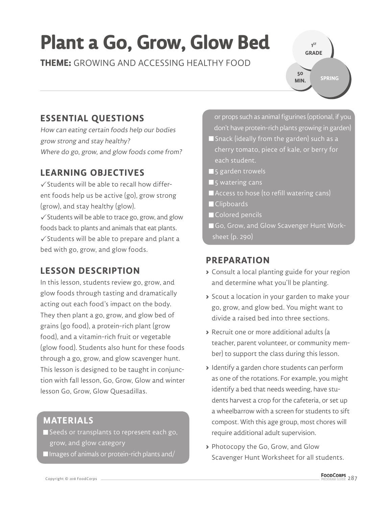# **Plant a Go, Grow, Glow Bed**

**THEME:** GROWING AND ACCESSING HEALTHY FOOD

**SPRING 50 MIN.**

**1 ST GRADE** 

### **ESSENTIAL QUESTIONS**

How can eating certain foods help our bodies grow strong and stay healthy? Where do go, grow, and glow foods come from?

#### **LEARNING OBJECTIVES**

 $\checkmark$  Students will be able to recall how different foods help us be active (go), grow strong (grow), and stay healthy (glow).  $\checkmark$  Students will be able to trace go, grow, and glow

foods back to plants and animals that eat plants.  $\checkmark$  Students will be able to prepare and plant a bed with go, grow, and glow foods.

#### **LESSON DESCRIPTION**

In this lesson, students review go, grow, and glow foods through tasting and dramatically acting out each food's impact on the body. They then plant a go, grow, and glow bed of grains (go food), a protein-rich plant (grow food), and a vitamin-rich fruit or vegetable (glow food). Students also hunt for these foods through a go, grow, and glow scavenger hunt. This lesson is designed to be taught in conjunction with fall lesson, Go, Grow, Glow and winter lesson Go, Grow, Glow Quesadillas.

#### **MATERIALS**

Seeds or transplants to represent each go, grow, and glow category

 $\blacksquare$  Images of animals or protein-rich plants and/

 or props such as animal figurines (optional, if you don't have protein-rich plants growing in garden)

- Snack (ideally from the garden) such as a cherry tomato, piece of kale, or berry for each student.
- $\blacksquare$  5 garden trowels
- $\blacksquare$  5 watering cans
- Access to hose (to refill watering cans)
- **Clipboards**
- Colored pencils
- Go, Grow, and Glow Scavenger Hunt Work sheet (p. 290)

#### **PREPARATION**

- **>** Consult a local planting guide for your region and determine what you'll be planting.
- **>** Scout a location in your garden to make your go, grow, and glow bed. You might want to divide a raised bed into three sections.
- **>** Recruit one or more additional adults (a teacher, parent volunteer, or community member) to support the class during this lesson.
- **>** Identify a garden chore students can perform as one of the rotations. For example, you might identify a bed that needs weeding, have students harvest a crop for the cafeteria, or set up a wheelbarrow with a screen for students to sift compost. With this age group, most chores will require additional adult supervision.
- **>** Photocopy the Go, Grow, and Glow Scavenger Hunt Worksheet for all students.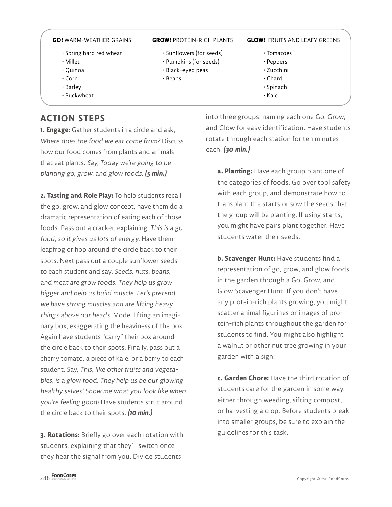- Spring hard red wheat
- Millet
- Quinoa
- Corn
- Barley
- Buckwheat

#### **ACTION STEPS**

**1. Engage:** Gather students in a circle and ask, Where does the food we eat come from? Discuss how our food comes from plants and animals that eat plants. Say, Today we're going to be planting go, grow, and glow foods. **(5 min.)**

**2. Tasting and Role Play:** To help students recall the go, grow, and glow concept, have them do a dramatic representation of eating each of those foods. Pass out a cracker, explaining, This is a go food, so it gives us lots of energy. Have them leapfrog or hop around the circle back to their spots. Next pass out a couple sunflower seeds to each student and say, Seeds, nuts, beans, and meat are grow foods. They help us grow bigger and help us build muscle. Let's pretend we have strong muscles and are lifting heavy things above our heads. Model lifting an imaginary box, exaggerating the heaviness of the box. Again have students "carry" their box around the circle back to their spots. Finally, pass out a cherry tomato, a piece of kale, or a berry to each student. Say, This, like other fruits and vegetables, is a glow food. They help us be our glowing healthy selves! Show me what you look like when you're feeling good! Have students strut around the circle back to their spots. **(10 min.)**

**3. Rotations:** Briefly go over each rotation with students, explaining that they'll switch once they hear the signal from you. Divide students

- Sunflowers (for seeds)
- Pumpkins (for seeds)
- Black-eyed peas
- Beans

#### **GO!** WARM-WEATHER GRAINS **GROW!** PROTEIN-RICH PLANTS **GLOW!** FRUITS AND LEAFY GREENS

- Tomatoes
- Peppers
- Zucchini
- Chard
- Spinach
- Kale

into three groups, naming each one Go, Grow, and Glow for easy identification. Have students rotate through each station for ten minutes each. **(30 min.)**

> **a. Planting:** Have each group plant one of the categories of foods. Go over tool safety with each group, and demonstrate how to transplant the starts or sow the seeds that the group will be planting. If using starts, you might have pairs plant together. Have students water their seeds.

> **b. Scavenger Hunt:** Have students find a representation of go, grow, and glow foods in the garden through a Go, Grow, and Glow Scavenger Hunt. If you don't have any protein-rich plants growing, you might scatter animal figurines or images of protein-rich plants throughout the garden for students to find. You might also highlight a walnut or other nut tree growing in your garden with a sign.

> **c. Garden Chore:** Have the third rotation of students care for the garden in some way, either through weeding, sifting compost, or harvesting a crop. Before students break into smaller groups, be sure to explain the guidelines for this task.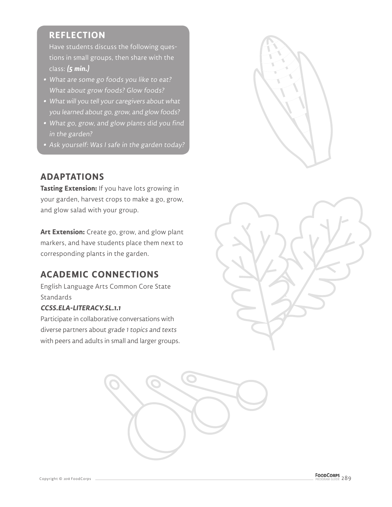#### **REFLECTION**

Have students discuss the following questions in small groups, then share with the class: **(5 min.)**

- **•** What are some go foods you like to eat? What about grow foods? Glow foods?
- **•** What will you tell your caregivers about what you learned about go, grow, and glow foods?
- **•** What go, grow, and glow plants did you find in the garden?
- **•** Ask yourself: Was I safe in the garden today?

#### **ADAPTATIONS**

**Tasting Extension:** If you have lots growing in your garden, harvest crops to make a go, grow, and glow salad with your group.

**Art Extension:** Create go, grow, and glow plant markers, and have students place them next to corresponding plants in the garden.

#### **ACADEMIC CONNECTIONS**

English Language Arts Common Core State **Standards** 

#### **CCSS.ELA-LITERACY.SL.1.1**

Participate in collaborative conversations with diverse partners about grade 1 topics and texts with peers and adults in small and larger groups.